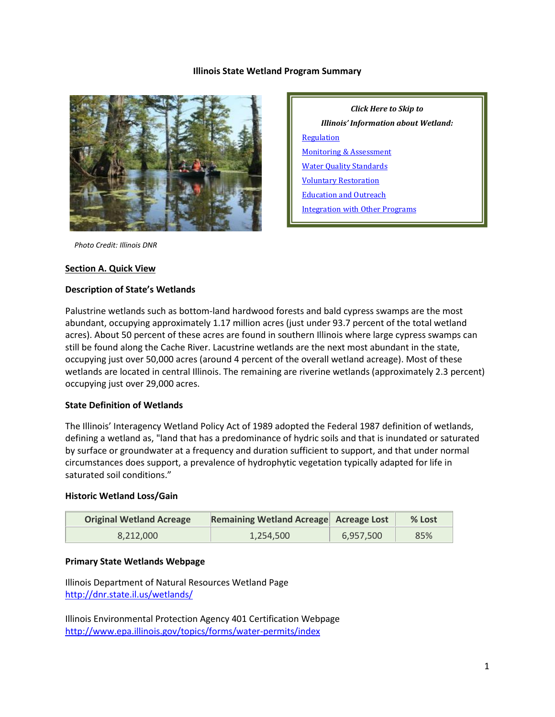## **Illinois State Wetland Program Summary**



*Click Here to Skip to Illinois' Information about Wetland:* **[Regulation](#page-2-0)** [Monitoring & Assessment](#page-4-0) [Water Quality Standards](#page-6-0) [Voluntary Restoration](#page-6-1) [Education and Outreach](#page-9-0) [Integration with Other Programs](#page-10-0)

 *Photo Credit: Illinois DNR*

#### **Section A. Quick View**

#### **Description of State's Wetlands**

Palustrine wetlands such as bottom-land hardwood forests and bald cypress swamps are the most abundant, occupying approximately 1.17 million acres (just under 93.7 percent of the total wetland acres). About 50 percent of these acres are found in southern Illinois where large cypress swamps can still be found along the Cache River. Lacustrine wetlands are the next most abundant in the state, occupying just over 50,000 acres (around 4 percent of the overall wetland acreage). Most of these wetlands are located in central Illinois. The remaining are riverine wetlands (approximately 2.3 percent) occupying just over 29,000 acres.

## **State Definition of Wetlands**

The Illinois' Interagency Wetland Policy Act of 1989 adopted the Federal 1987 definition of wetlands, defining a wetland as, "land that has a predominance of hydric soils and that is inundated or saturated by surface or groundwater at a frequency and duration sufficient to support, and that under normal circumstances does support, a prevalence of hydrophytic vegetation typically adapted for life in saturated soil conditions."

## **Historic Wetland Loss/Gain**

| <b>Original Wetland Acreage</b> | Remaining Wetland Acreage Acreage Lost |           | $%$ Lost |
|---------------------------------|----------------------------------------|-----------|----------|
| 8.212.000                       | 1.254.500                              | 6,957,500 | 85%      |

## **Primary State Wetlands Webpage**

Illinois Department of Natural Resources Wetland Page <http://dnr.state.il.us/wetlands/>

Illinois Environmental Protection Agency 401 Certification Webpage <http://www.epa.illinois.gov/topics/forms/water-permits/index>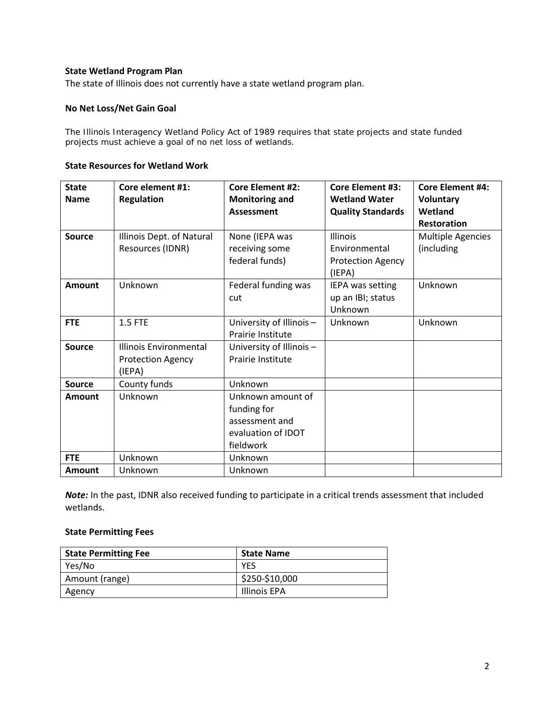# **State Wetland Program Plan**

The state of Illinois does not currently have a state wetland program plan.

## **No Net Loss/Net Gain Goal**

The Illinois Interagency Wetland Policy Act of 1989 requires that state projects and state funded projects must achieve a goal of no net loss of wetlands.

#### **State Resources for Wetland Work**

| <b>State</b>  | Core element #1:          | <b>Core Element #2:</b>  | <b>Core Element #3:</b>  | <b>Core Element #4:</b>  |
|---------------|---------------------------|--------------------------|--------------------------|--------------------------|
| <b>Name</b>   | <b>Regulation</b>         | <b>Monitoring and</b>    | <b>Wetland Water</b>     | Voluntary                |
|               |                           | <b>Assessment</b>        | <b>Quality Standards</b> | Wetland                  |
|               |                           |                          |                          | <b>Restoration</b>       |
| <b>Source</b> | Illinois Dept. of Natural | None (IEPA was           | Illinois                 | <b>Multiple Agencies</b> |
|               | Resources (IDNR)          | receiving some           | Environmental            | (including               |
|               |                           | federal funds)           | <b>Protection Agency</b> |                          |
|               |                           |                          | (IEPA)                   |                          |
| <b>Amount</b> | Unknown                   | Federal funding was      | IEPA was setting         | Unknown                  |
|               |                           | cut                      | up an IBI; status        |                          |
|               |                           |                          | Unknown                  |                          |
| <b>FTE</b>    | 1.5 FTE                   | University of Illinois - | Unknown                  | Unknown                  |
|               |                           | Prairie Institute        |                          |                          |
| <b>Source</b> | Illinois Environmental    | University of Illinois - |                          |                          |
|               | <b>Protection Agency</b>  | Prairie Institute        |                          |                          |
|               | (IEPA)                    |                          |                          |                          |
| <b>Source</b> | County funds              | Unknown                  |                          |                          |
| <b>Amount</b> | Unknown                   | Unknown amount of        |                          |                          |
|               |                           | funding for              |                          |                          |
|               |                           | assessment and           |                          |                          |
|               |                           | evaluation of IDOT       |                          |                          |
|               |                           | fieldwork                |                          |                          |
| <b>FTE</b>    | Unknown                   | Unknown                  |                          |                          |
| <b>Amount</b> | Unknown                   | Unknown                  |                          |                          |

*Note:* In the past, IDNR also received funding to participate in a critical trends assessment that included wetlands.

## **State Permitting Fees**

| <b>State Permitting Fee</b> | <b>State Name</b> |
|-----------------------------|-------------------|
| Yes/No                      | <b>YES</b>        |
| Amount (range)              | \$250-\$10,000    |
| Agency                      | Illinois EPA      |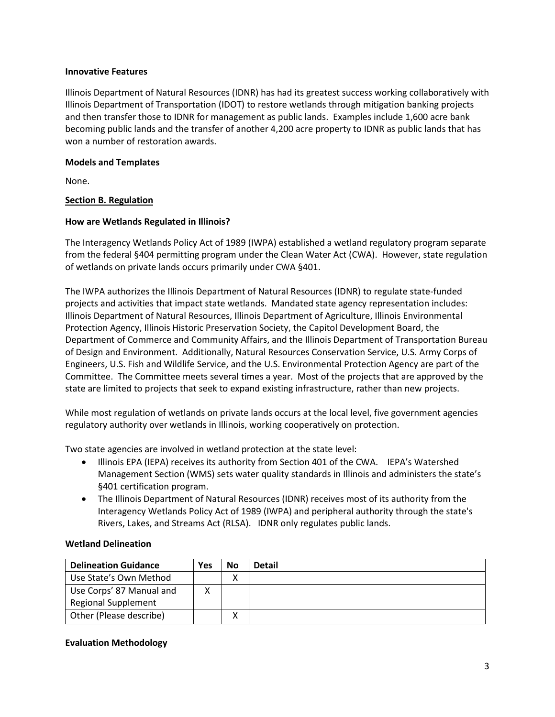# **Innovative Features**

Illinois Department of Natural Resources (IDNR) has had its greatest success working collaboratively with Illinois Department of Transportation (IDOT) to restore wetlands through mitigation banking projects and then transfer those to IDNR for management as public lands. Examples include 1,600 acre bank becoming public lands and the transfer of another 4,200 acre property to IDNR as public lands that has won a number of restoration awards.

# **Models and Templates**

None.

# <span id="page-2-0"></span>**Section B. Regulation**

# **How are Wetlands Regulated in Illinois?**

The Interagency Wetlands Policy Act of 1989 (IWPA) established a wetland regulatory program separate from the federal §404 permitting program under the Clean Water Act (CWA). However, state regulation of wetlands on private lands occurs primarily under CWA §401.

The IWPA authorizes the Illinois Department of Natural Resources (IDNR) to regulate state-funded projects and activities that impact state wetlands. Mandated state agency representation includes: Illinois Department of Natural Resources, Illinois Department of Agriculture, Illinois Environmental Protection Agency, Illinois Historic Preservation Society, the Capitol Development Board, the Department of Commerce and Community Affairs, and the Illinois Department of Transportation Bureau of Design and Environment. Additionally, Natural Resources Conservation Service, U.S. Army Corps of Engineers, U.S. Fish and Wildlife Service, and the U.S. Environmental Protection Agency are part of the Committee. The Committee meets several times a year. Most of the projects that are approved by the state are limited to projects that seek to expand existing infrastructure, rather than new projects.

While most regulation of wetlands on private lands occurs at the local level, five government agencies regulatory authority over wetlands in Illinois, working cooperatively on protection.

Two state agencies are involved in wetland protection at the state level:

- Illinois EPA (IEPA) receives its authority from Section 401 of the CWA. IEPA's Watershed Management Section (WMS) sets water quality standards in Illinois and administers the state's §401 certification program.
- The Illinois Department of Natural Resources (IDNR) receives most of its authority from the Interagency Wetlands Policy Act of 1989 (IWPA) and peripheral authority through the state's Rivers, Lakes, and Streams Act (RLSA). IDNR only regulates public lands.

# **Wetland Delineation**

| <b>Delineation Guidance</b> | Yes | No | <b>Detail</b> |
|-----------------------------|-----|----|---------------|
| Use State's Own Method      |     | Λ  |               |
| Use Corps' 87 Manual and    |     |    |               |
| <b>Regional Supplement</b>  |     |    |               |
| Other (Please describe)     |     | ∧  |               |

# **Evaluation Methodology**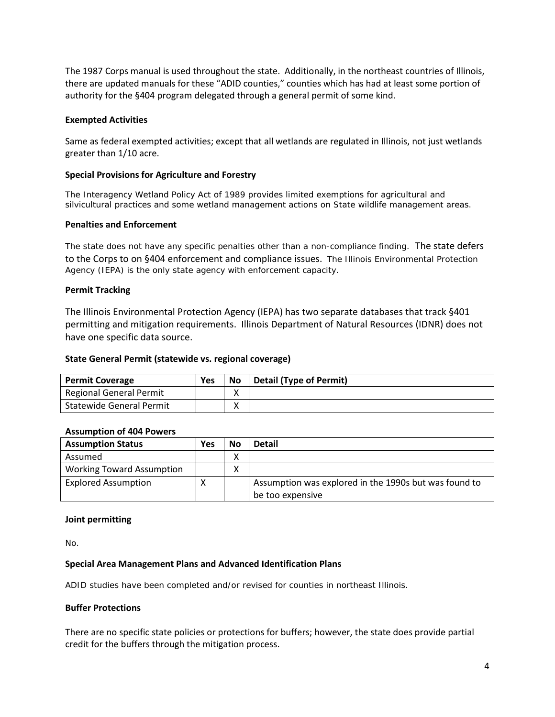The 1987 Corps manual is used throughout the state. Additionally, in the northeast countries of Illinois, there are updated manuals for these "ADID counties," counties which has had at least some portion of authority for the §404 program delegated through a general permit of some kind.

## **Exempted Activities**

Same as federal exempted activities; except that all wetlands are regulated in Illinois, not just wetlands greater than 1/10 acre.

## **Special Provisions for Agriculture and Forestry**

The Interagency Wetland Policy Act of 1989 provides limited exemptions for agricultural and silvicultural practices and some wetland management actions on State wildlife management areas.

## **Penalties and Enforcement**

The state does not have any specific penalties other than a non-compliance finding. The state defers to the Corps to on §404 enforcement and compliance issues. The Illinois Environmental Protection Agency (IEPA) is the only state agency with enforcement capacity.

## **Permit Tracking**

The Illinois Environmental Protection Agency (IEPA) has two separate databases that track §401 permitting and mitigation requirements. Illinois Department of Natural Resources (IDNR) does not have one specific data source.

## **State General Permit (statewide vs. regional coverage)**

| <b>Permit Coverage</b>          | Yes | <b>No</b> | Detail (Type of Permit) |
|---------------------------------|-----|-----------|-------------------------|
| <b>Regional General Permit</b>  |     |           |                         |
| <b>Statewide General Permit</b> |     | v         |                         |

## **Assumption of 404 Powers**

| <b>Assumption Status</b>         | Yes | No                | <b>Detail</b>                                         |
|----------------------------------|-----|-------------------|-------------------------------------------------------|
| Assumed                          |     | $\checkmark$<br>л |                                                       |
| <b>Working Toward Assumption</b> |     | ⋏                 |                                                       |
| <b>Explored Assumption</b>       |     |                   | Assumption was explored in the 1990s but was found to |
|                                  |     |                   | be too expensive                                      |

## **Joint permitting**

No.

## **Special Area Management Plans and Advanced Identification Plans**

ADID studies have been completed and/or revised for counties in northeast Illinois.

## **Buffer Protections**

There are no specific state policies or protections for buffers; however, the state does provide partial credit for the buffers through the mitigation process.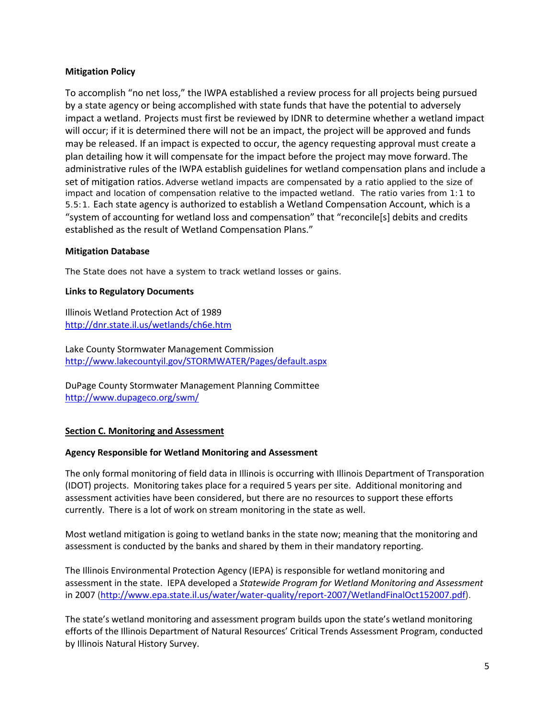# **Mitigation Policy**

To accomplish "no net loss," the IWPA established a review process for all projects being pursued by a state agency or being accomplished with state funds that have the potential to adversely impact a wetland. Projects must first be reviewed by IDNR to determine whether a wetland impact will occur; if it is determined there will not be an impact, the project will be approved and funds may be released. If an impact is expected to occur, the agency requesting approval must create a plan detailing how it will compensate for the impact before the project may move forward. The administrative rules of the IWPA establish guidelines for wetland compensation plans and include a set of mitigation ratios. Adverse wetland impacts are compensated by a ratio applied to the size of impact and location of compensation relative to the impacted wetland. The ratio varies from 1:1 to 5.5:1. Each state agency is authorized to establish a Wetland Compensation Account, which is a "system of accounting for wetland loss and compensation" that "reconcile[s] debits and credits established as the result of Wetland Compensation Plans."

# **Mitigation Database**

The State does not have a system to track wetland losses or gains.

# **Links to Regulatory Documents**

Illinois Wetland Protection Act of 1989 <http://dnr.state.il.us/wetlands/ch6e.htm>

Lake County Stormwater Management Commission <http://www.lakecountyil.gov/STORMWATER/Pages/default.aspx>

DuPage County Stormwater Management Planning Committee <http://www.dupageco.org/swm/>

# <span id="page-4-0"></span>**Section C. Monitoring and Assessment**

# **Agency Responsible for Wetland Monitoring and Assessment**

The only formal monitoring of field data in Illinois is occurring with Illinois Department of Transporation (IDOT) projects. Monitoring takes place for a required 5 years per site. Additional monitoring and assessment activities have been considered, but there are no resources to support these efforts currently. There is a lot of work on stream monitoring in the state as well.

Most wetland mitigation is going to wetland banks in the state now; meaning that the monitoring and assessment is conducted by the banks and shared by them in their mandatory reporting.

The Illinois Environmental Protection Agency (IEPA) is responsible for wetland monitoring and assessment in the state. IEPA developed a *Statewide Program for Wetland Monitoring and Assessment*  in 2007 [\(http://www.epa.state.il.us/water/water-quality/report-2007/WetlandFinalOct152007.pdf\)](http://www.epa.state.il.us/water/water-quality/report-2007/WetlandFinalOct152007.pdf).

The state's wetland monitoring and assessment program builds upon the state's wetland monitoring efforts of the Illinois Department of Natural Resources' Critical Trends Assessment Program, conducted by Illinois Natural History Survey.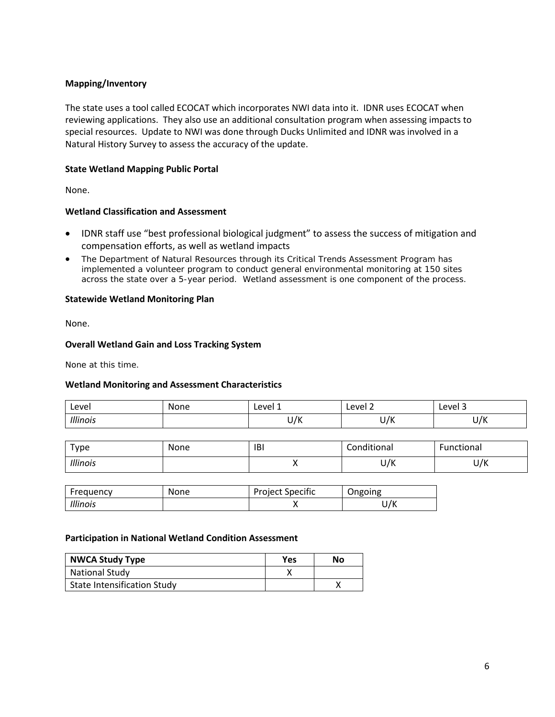# **Mapping/Inventory**

The state uses a tool called ECOCAT which incorporates NWI data into it. IDNR uses ECOCAT when reviewing applications. They also use an additional consultation program when assessing impacts to special resources. Update to NWI was done through Ducks Unlimited and IDNR was involved in a Natural History Survey to assess the accuracy of the update.

# **State Wetland Mapping Public Portal**

None.

# **Wetland Classification and Assessment**

- IDNR staff use "best professional biological judgment" to assess the success of mitigation and compensation efforts, as well as wetland impacts
- The Department of Natural Resources through its Critical Trends Assessment Program has implemented a volunteer program to conduct general environmental monitoring at 150 sites across the state over a 5-year period. Wetland assessment is one component of the process.

# **Statewide Wetland Monitoring Plan**

None.

## **Overall Wetland Gain and Loss Tracking System**

None at this time.

# **Wetland Monitoring and Assessment Characteristics**

| Level    | None | Level 1    | Level 2     | Level 3                 |
|----------|------|------------|-------------|-------------------------|
| Illinois |      | 1/V<br>U/K | . IV<br>U/N | . $\prime\prime$<br>U/N |

| $T$ ype  | None | IBI | Conditional | Functional |
|----------|------|-----|-------------|------------|
| Illinois |      |     | U/K         | U/K        |

| Frequency | <b>None</b> | <b>Project Specific</b> | Ongoing |
|-----------|-------------|-------------------------|---------|
| Illinois  |             |                         | /К<br>ັ |

## **Participation in National Wetland Condition Assessment**

| <b>NWCA Study Type</b>             | Yes | No |
|------------------------------------|-----|----|
| National Study                     |     |    |
| <b>State Intensification Study</b> |     |    |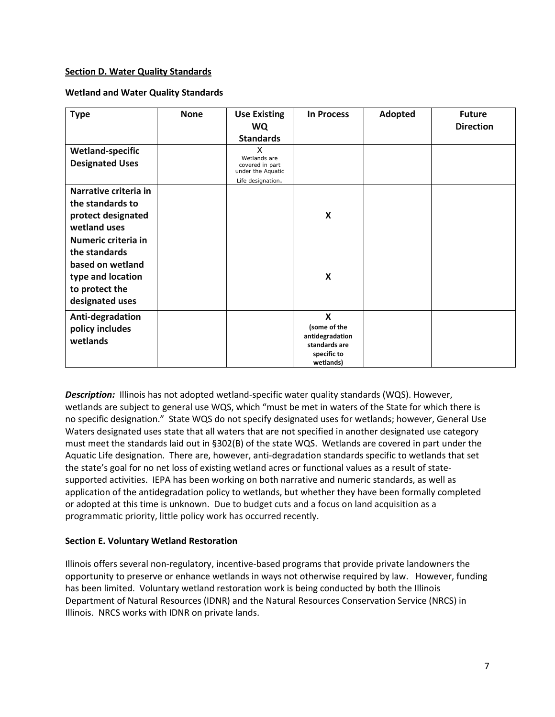## <span id="page-6-0"></span>**Section D. Water Quality Standards**

## **Wetland and Water Quality Standards**

| <b>Type</b>                                                                                                        | <b>None</b> | <b>Use Existing</b><br><b>WQ</b><br><b>Standards</b>                           | <b>In Process</b>                                                                           | Adopted | <b>Future</b><br><b>Direction</b> |
|--------------------------------------------------------------------------------------------------------------------|-------------|--------------------------------------------------------------------------------|---------------------------------------------------------------------------------------------|---------|-----------------------------------|
| <b>Wetland-specific</b><br><b>Designated Uses</b>                                                                  |             | X<br>Wetlands are<br>covered in part<br>under the Aquatic<br>Life designation. |                                                                                             |         |                                   |
| Narrative criteria in<br>the standards to<br>protect designated<br>wetland uses                                    |             |                                                                                | X                                                                                           |         |                                   |
| Numeric criteria in<br>the standards<br>based on wetland<br>type and location<br>to protect the<br>designated uses |             |                                                                                | X                                                                                           |         |                                   |
| Anti-degradation<br>policy includes<br>wetlands                                                                    |             |                                                                                | $\mathbf x$<br>(some of the<br>antidegradation<br>standards are<br>specific to<br>wetlands) |         |                                   |

*Description:*Illinois has not adopted wetland-specific water quality standards (WQS). However, wetlands are subject to general use WQS, which "must be met in waters of the State for which there is no specific designation." State WQS do not specify designated uses for wetlands; however, General Use Waters designated uses state that all waters that are not specified in another designated use category must meet the standards laid out in §302(B) of the state WQS. Wetlands are covered in part under the Aquatic Life designation. There are, however, anti-degradation standards specific to wetlands that set the state's goal for no net loss of existing wetland acres or functional values as a result of statesupported activities. IEPA has been working on both narrative and numeric standards, as well as application of the antidegradation policy to wetlands, but whether they have been formally completed or adopted at this time is unknown. Due to budget cuts and a focus on land acquisition as a programmatic priority, little policy work has occurred recently.

## <span id="page-6-1"></span>**Section E. Voluntary Wetland Restoration**

Illinois offers several non-regulatory, incentive-based programs that provide private landowners the opportunity to preserve or enhance wetlands in ways not otherwise required by law. However, funding has been limited. Voluntary wetland restoration work is being conducted by both the Illinois Department of Natural Resources (IDNR) and the Natural Resources Conservation Service (NRCS) in Illinois. NRCS works with IDNR on private lands.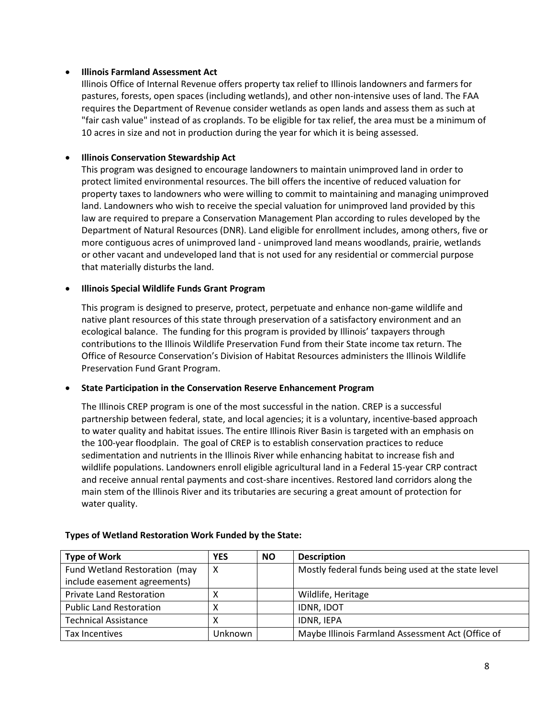## • **Illinois Farmland Assessment Act**

Illinois Office of Internal Revenue offers property tax relief to Illinois landowners and farmers for pastures, forests, open spaces (including wetlands), and other non-intensive uses of land. The FAA requires the Department of Revenue consider wetlands as open lands and assess them as such at "fair cash value" instead of as croplands. To be eligible for tax relief, the area must be a minimum of 10 acres in size and not in production during the year for which it is being assessed.

# • **Illinois Conservation Stewardship Act**

This program was designed to encourage landowners to maintain unimproved land in order to protect limited environmental resources. The bill offers the incentive of reduced valuation for property taxes to landowners who were willing to commit to maintaining and managing unimproved land. Landowners who wish to receive the special valuation for unimproved land provided by this law are required to prepare a Conservation Management Plan according to rules developed by the Department of Natural Resources (DNR). Land eligible for enrollment includes, among others, five or more contiguous acres of unimproved land - unimproved land means woodlands, prairie, wetlands or other vacant and undeveloped land that is not used for any residential or commercial purpose that materially disturbs the land.

## • **Illinois Special Wildlife Funds Grant Program**

This program is designed to preserve, protect, perpetuate and enhance non-game wildlife and native plant resources of this state through preservation of a satisfactory environment and an ecological balance. The funding for this program is provided by Illinois' taxpayers through contributions to the Illinois Wildlife Preservation Fund from their State income tax return. The Office of Resource Conservation's Division of Habitat Resources administers the Illinois Wildlife Preservation Fund Grant Program.

## • **State Participation in the Conservation Reserve Enhancement Program**

The Illinois CREP program is one of the most successful in the nation. CREP is a successful partnership between federal, state, and local agencies; it is a voluntary, incentive-based approach to water quality and habitat issues. The entire Illinois River Basin is targeted with an emphasis on the 100-year floodplain. The goal of CREP is to establish conservation practices to reduce sedimentation and nutrients in the Illinois River while enhancing habitat to increase fish and wildlife populations. Landowners enroll eligible agricultural land in a Federal 15-year CRP contract and receive annual rental payments and cost-share incentives. Restored land corridors along the main stem of the Illinois River and its tributaries are securing a great amount of protection for water quality.

| <b>Type of Work</b>             | <b>YES</b> | <b>NO</b> | <b>Description</b>                                 |
|---------------------------------|------------|-----------|----------------------------------------------------|
| Fund Wetland Restoration (may   | х          |           | Mostly federal funds being used at the state level |
| include easement agreements)    |            |           |                                                    |
| <b>Private Land Restoration</b> |            |           | Wildlife, Heritage                                 |
| <b>Public Land Restoration</b>  |            |           | <b>IDNR, IDOT</b>                                  |
| <b>Technical Assistance</b>     |            |           | <b>IDNR. IEPA</b>                                  |
| Tax Incentives                  | Unknown    |           | Maybe Illinois Farmland Assessment Act (Office of  |

# **Types of Wetland Restoration Work Funded by the State:**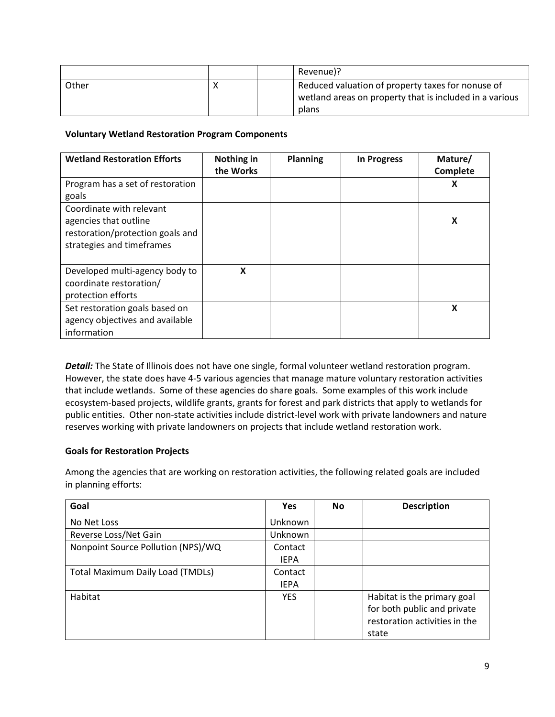|       |  | Revenue)?                                               |
|-------|--|---------------------------------------------------------|
| Other |  | Reduced valuation of property taxes for nonuse of       |
|       |  | wetland areas on property that is included in a various |
|       |  | plans                                                   |

# **Voluntary Wetland Restoration Program Components**

| <b>Wetland Restoration Efforts</b>                                                                                 | Nothing in<br>the Works | <b>Planning</b> | <b>In Progress</b> | Mature/<br>Complete |
|--------------------------------------------------------------------------------------------------------------------|-------------------------|-----------------|--------------------|---------------------|
| Program has a set of restoration<br>goals                                                                          |                         |                 |                    | X                   |
| Coordinate with relevant<br>agencies that outline<br>restoration/protection goals and<br>strategies and timeframes |                         |                 |                    | X                   |
| Developed multi-agency body to<br>coordinate restoration/<br>protection efforts                                    | X                       |                 |                    |                     |
| Set restoration goals based on<br>agency objectives and available<br>information                                   |                         |                 |                    | X                   |

*Detail:* The State of Illinois does not have one single, formal volunteer wetland restoration program. However, the state does have 4-5 various agencies that manage mature voluntary restoration activities that include wetlands. Some of these agencies do share goals. Some examples of this work include ecosystem-based projects, wildlife grants, grants for forest and park districts that apply to wetlands for public entities. Other non-state activities include district-level work with private landowners and nature reserves working with private landowners on projects that include wetland restoration work.

# **Goals for Restoration Projects**

Among the agencies that are working on restoration activities, the following related goals are included in planning efforts:

| Goal                                    | <b>Yes</b>  | <b>No</b> | <b>Description</b>            |
|-----------------------------------------|-------------|-----------|-------------------------------|
| No Net Loss                             | Unknown     |           |                               |
| Reverse Loss/Net Gain                   | Unknown     |           |                               |
| Nonpoint Source Pollution (NPS)/WQ      | Contact     |           |                               |
|                                         | <b>IEPA</b> |           |                               |
| <b>Total Maximum Daily Load (TMDLs)</b> | Contact     |           |                               |
|                                         | <b>IEPA</b> |           |                               |
| Habitat                                 | <b>YES</b>  |           | Habitat is the primary goal   |
|                                         |             |           | for both public and private   |
|                                         |             |           | restoration activities in the |
|                                         |             |           | state                         |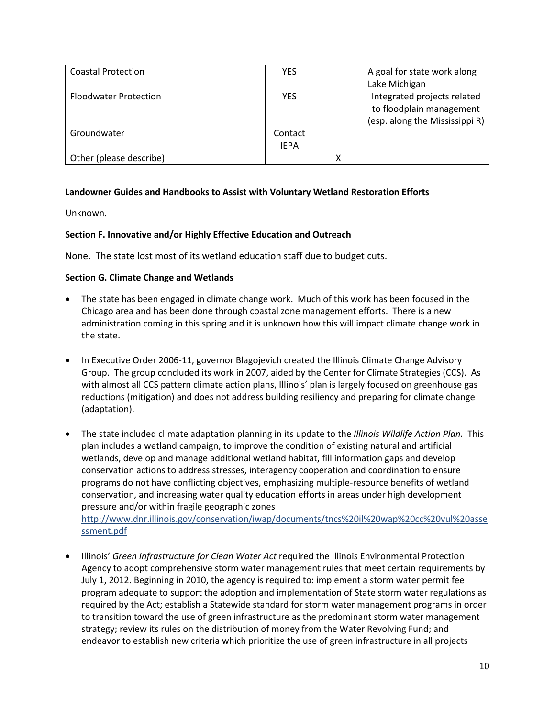| <b>Coastal Protection</b>    | <b>YES</b>  | A goal for state work along    |
|------------------------------|-------------|--------------------------------|
|                              |             | Lake Michigan                  |
| <b>Floodwater Protection</b> | <b>YES</b>  | Integrated projects related    |
|                              |             | to floodplain management       |
|                              |             | (esp. along the Mississippi R) |
| Groundwater                  | Contact     |                                |
|                              | <b>IEPA</b> |                                |
| Other (please describe)      |             |                                |

# **Landowner Guides and Handbooks to Assist with Voluntary Wetland Restoration Efforts**

Unknown.

# <span id="page-9-0"></span>**Section F. Innovative and/or Highly Effective Education and Outreach**

None. The state lost most of its wetland education staff due to budget cuts.

# **Section G. Climate Change and Wetlands**

- The state has been engaged in climate change work. Much of this work has been focused in the Chicago area and has been done through coastal zone management efforts. There is a new administration coming in this spring and it is unknown how this will impact climate change work in the state.
- In Executive Order 2006-11, governor Blagojevich created the Illinois Climate Change Advisory Group. The group concluded its work in 2007, aided by the Center for Climate Strategies (CCS). As with almost all CCS pattern climate action plans, Illinois' plan is largely focused on greenhouse gas reductions (mitigation) and does not address building resiliency and preparing for climate change (adaptation).
- The state included climate adaptation planning in its update to the *Illinois Wildlife Action Plan.* This plan includes a wetland campaign, to improve the condition of existing natural and artificial wetlands, develop and manage additional wetland habitat, fill information gaps and develop conservation actions to address stresses, interagency cooperation and coordination to ensure programs do not have conflicting objectives, emphasizing multiple-resource benefits of wetland conservation, and increasing water quality education efforts in areas under high development pressure and/or within fragile geographic zones

[http://www.dnr.illinois.gov/conservation/iwap/documents/tncs%20il%20wap%20cc%20vul%20asse](http://www.dnr.illinois.gov/conservation/iwap/documents/tncs%20il%20wap%20cc%20vul%20assessment.pdf) [ssment.pdf](http://www.dnr.illinois.gov/conservation/iwap/documents/tncs%20il%20wap%20cc%20vul%20assessment.pdf)

• Illinois' *Green Infrastructure for Clean Water Act* required the Illinois Environmental Protection Agency to adopt comprehensive storm water management rules that meet certain requirements by July 1, 2012. Beginning in 2010, the agency is required to: implement a storm water permit fee program adequate to support the adoption and implementation of State storm water regulations as required by the Act; establish a Statewide standard for storm water management programs in order to transition toward the use of green infrastructure as the predominant storm water management strategy; review its rules on the distribution of money from the Water Revolving Fund; and endeavor to establish new criteria which prioritize the use of green infrastructure in all projects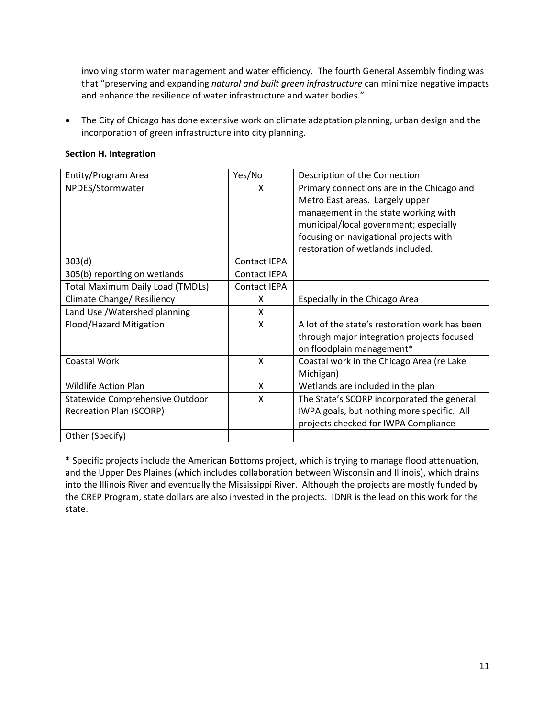involving storm water management and water efficiency. The fourth General Assembly finding was that "preserving and expanding *natural and built green infrastructure* can minimize negative impacts and enhance the resilience of water infrastructure and water bodies."

• The City of Chicago has done extensive work on climate adaptation planning, urban design and the incorporation of green infrastructure into city planning.

| Entity/Program Area                     | Yes/No              | Description of the Connection                  |
|-----------------------------------------|---------------------|------------------------------------------------|
| NPDES/Stormwater                        | X                   | Primary connections are in the Chicago and     |
|                                         |                     | Metro East areas. Largely upper                |
|                                         |                     | management in the state working with           |
|                                         |                     | municipal/local government; especially         |
|                                         |                     | focusing on navigational projects with         |
|                                         |                     | restoration of wetlands included.              |
| 303(d)                                  | Contact IEPA        |                                                |
| 305(b) reporting on wetlands            | <b>Contact IEPA</b> |                                                |
| <b>Total Maximum Daily Load (TMDLs)</b> | <b>Contact IEPA</b> |                                                |
| Climate Change/ Resiliency              | X                   | Especially in the Chicago Area                 |
| Land Use / Watershed planning           | X                   |                                                |
| Flood/Hazard Mitigation                 | X                   | A lot of the state's restoration work has been |
|                                         |                     | through major integration projects focused     |
|                                         |                     | on floodplain management*                      |
| Coastal Work                            | X                   | Coastal work in the Chicago Area (re Lake      |
|                                         |                     | Michigan)                                      |
| <b>Wildlife Action Plan</b>             | X                   | Wetlands are included in the plan              |
| Statewide Comprehensive Outdoor         | X                   | The State's SCORP incorporated the general     |
| <b>Recreation Plan (SCORP)</b>          |                     | IWPA goals, but nothing more specific. All     |
|                                         |                     | projects checked for IWPA Compliance           |
| Other (Specify)                         |                     |                                                |

## <span id="page-10-0"></span>**Section H. Integration**

\* Specific projects include the American Bottoms project, which is trying to manage flood attenuation, and the Upper Des Plaines (which includes collaboration between Wisconsin and Illinois), which drains into the Illinois River and eventually the Mississippi River. Although the projects are mostly funded by the CREP Program, state dollars are also invested in the projects. IDNR is the lead on this work for the state.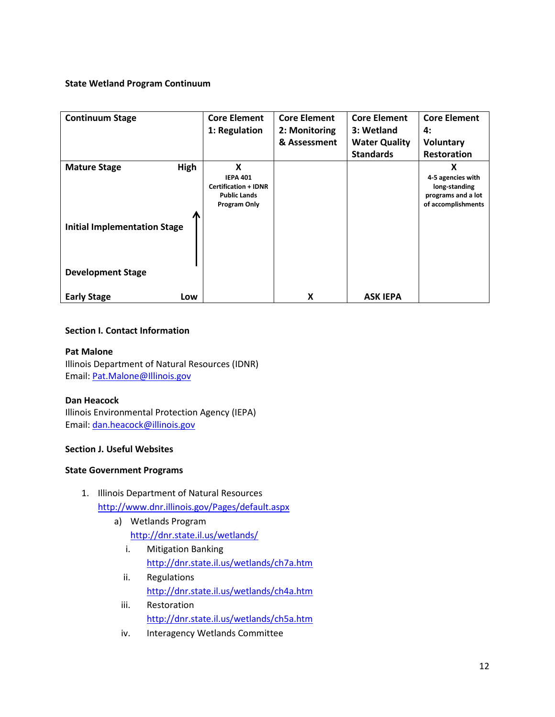# **State Wetland Program Continuum**

| <b>Continuum Stage</b>                                             | <b>Core Element</b>                                                                        | <b>Core Element</b> | <b>Core Element</b>  | <b>Core Element</b>                                                                 |
|--------------------------------------------------------------------|--------------------------------------------------------------------------------------------|---------------------|----------------------|-------------------------------------------------------------------------------------|
|                                                                    | 1: Regulation                                                                              | 2: Monitoring       | 3: Wetland           | 4:                                                                                  |
|                                                                    |                                                                                            | & Assessment        | <b>Water Quality</b> | <b>Voluntary</b>                                                                    |
|                                                                    |                                                                                            |                     | <b>Standards</b>     | <b>Restoration</b>                                                                  |
| High<br><b>Mature Stage</b><br><b>Initial Implementation Stage</b> | X<br><b>IEPA 401</b><br><b>Certification + IDNR</b><br><b>Public Lands</b><br>Program Only |                     |                      | X<br>4-5 agencies with<br>long-standing<br>programs and a lot<br>of accomplishments |
| <b>Development Stage</b><br><b>Early Stage</b><br>Low              |                                                                                            | x                   | <b>ASK IEPA</b>      |                                                                                     |

# **Section I. Contact Information**

## **Pat Malone**

Illinois Department of Natural Resources (IDNR) Email: [Pat.Malone@Illinois.gov](mailto:Pat.Malone@Illinois.gov)

## **Dan Heacock**

Illinois Environmental Protection Agency (IEPA) Email: [dan.heacock@illinois.gov](mailto:dan.heacock@illinois.gov)

## **Section J. Useful Websites**

## **State Government Programs**

- 1. Illinois Department of Natural Resources <http://www.dnr.illinois.gov/Pages/default.aspx>
	- a) Wetlands Program
		- <http://dnr.state.il.us/wetlands/>
		- i. Mitigation Banking <http://dnr.state.il.us/wetlands/ch7a.htm>
		- ii. Regulations <http://dnr.state.il.us/wetlands/ch4a.htm>
		- iii. Restoration <http://dnr.state.il.us/wetlands/ch5a.htm>
		- iv. Interagency Wetlands Committee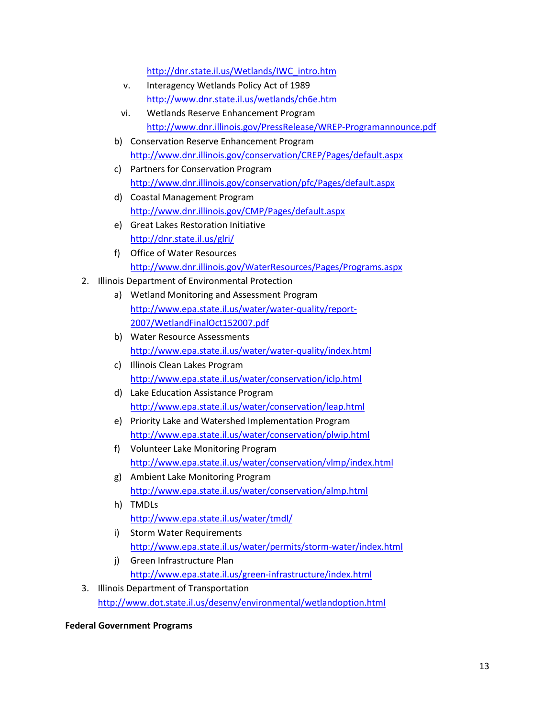[http://dnr.state.il.us/Wetlands/IWC\\_intro.htm](http://dnr.state.il.us/Wetlands/IWC_intro.htm)

- v. Interagency Wetlands Policy Act of 1989 <http://www.dnr.state.il.us/wetlands/ch6e.htm>
- vi. Wetlands Reserve Enhancement Program <http://www.dnr.illinois.gov/PressRelease/WREP-Programannounce.pdf>
- b) Conservation Reserve Enhancement Program <http://www.dnr.illinois.gov/conservation/CREP/Pages/default.aspx>
- c) Partners for Conservation Program <http://www.dnr.illinois.gov/conservation/pfc/Pages/default.aspx>
- d) Coastal Management Program <http://www.dnr.illinois.gov/CMP/Pages/default.aspx>
- e) Great Lakes Restoration Initiative <http://dnr.state.il.us/glri/>
- f) Office of Water Resources <http://www.dnr.illinois.gov/WaterResources/Pages/Programs.aspx>
- 2. Illinois Department of Environmental Protection
	- a) Wetland Monitoring and Assessment Program [http://www.epa.state.il.us/water/water-quality/report-](http://www.epa.state.il.us/water/water-quality/report-2007/WetlandFinalOct152007.pdf)[2007/WetlandFinalOct152007.pdf](http://www.epa.state.il.us/water/water-quality/report-2007/WetlandFinalOct152007.pdf)
	- b) Water Resource Assessments <http://www.epa.state.il.us/water/water-quality/index.html>
	- c) Illinois Clean Lakes Program <http://www.epa.state.il.us/water/conservation/iclp.html>
	- d) Lake Education Assistance Program <http://www.epa.state.il.us/water/conservation/leap.html>
	- e) Priority Lake and Watershed Implementation Program <http://www.epa.state.il.us/water/conservation/plwip.html>
	- f) Volunteer Lake Monitoring Program <http://www.epa.state.il.us/water/conservation/vlmp/index.html>
	- g) Ambient Lake Monitoring Program <http://www.epa.state.il.us/water/conservation/almp.html>
	- h) TMDLs <http://www.epa.state.il.us/water/tmdl/>
	- i) Storm Water Requirements <http://www.epa.state.il.us/water/permits/storm-water/index.html>
	- j) Green Infrastructure Plan <http://www.epa.state.il.us/green-infrastructure/index.html>
- 3. Illinois Department of Transportation <http://www.dot.state.il.us/desenv/environmental/wetlandoption.html>

# **Federal Government Programs**